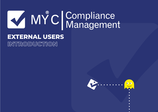# MYC Compliance

## **EXTERNAL USERS INTRODUCTION**

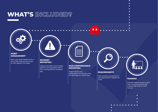## **WHAT'S INCLUDED?**

 $\bullet$  $\bullet$ 

#### **ASSET MANAGEMENT**

View your Asset details from a link or QR code and even log an NCR against the Asset

#### **INCIDENT REPORTING**

Capture Accident and Incident reports from anywhere with a link or using the MY Incidents app

 $\bullet$  $\bullet$  $\bullet$ 

#### **NON-CONFORMANCE REPORTING**

Report NCR's and observations on the go using MY NCR app or a direct link

#### **REQUIREMENTS**

 $\bullet$ 

View a policy, procedure, or any requirement register via a link. **TRAINING**

 $\bullet$ 

 $\bullet$ 

 $\blacksquare$  $\bullet$  $\blacksquare$ 

 $\bullet$ 

Provide instant access to your team training records with a handy QR code for each trainee

> $\bullet$  $\bullet$  $\bullet$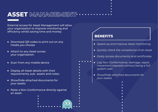## ASSET MANAGEMENT $\cdots$

External access for Asset Management will allow your organisation to improve monitoring and efficiency whilst saving time and money.

- $\bullet$  Download QR codes to print out on any media you choose
- Attach to any Asset across your organisation
- Scan from any mobile device
- Display all Asset details with their  $\bullet$ requirements, sub- assets and notes.
- **Show/hide attached documents for** your assets
- Raise a Non-Conformance directly against an asset.

- *Speed up and improve Asset monitoring*
- *Quickly check the compliance of an Asset*
- *Easily access documents and certificates*
- *Log Non-Conformance, damage, repair, movement requests without being a full system user*
- *Show/hide attached documents for your assets*
	-
	-
	-
	- -
		-
		-
	-
	-
	-
	-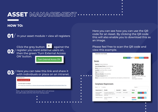# ASSET MANAGEMENT $\cdots$

 $\bullet$ 

 $\bullet$ 

 $\bullet$ 

 $\bullet$ 

 $\bullet$ 

 $\bullet$ 

 $\bullet$ 

 $\bullet$ 

#### **HOW TO:**

**01**/ In your asset module > view all registers

ON' button.

Click the grey button **and against the** 

register you want external users on, then the green 'Turn External Access

**Turn External Access ON** 



#### Here you can take this link and share it with individuals or place on an intranet.

| External access is on                                                                             |  |
|---------------------------------------------------------------------------------------------------|--|
| Turn External Access OFF                                                                          |  |
| To view this register via a web page:                                                             |  |
| Go to https://my-compliance.co.uk/external/assetsmanager/3b0abda22fd3e60f7e397d2c696d9c782b617fa6 |  |
|                                                                                                   |  |
| Note - by turning External Access off, it will remove                                             |  |
| the QR codes and the link from being used.                                                        |  |
|                                                                                                   |  |
|                                                                                                   |  |
|                                                                                                   |  |
|                                                                                                   |  |

Here you can see how you can use the QR code for an Asset. By clicking the QR code this will also enable you to download this as an image.

#### Please feel free to scan the QR code and view this example.

#### **External User Asset Example** Sexit **C** Edit **PDF Alerts OArchive 自** Delete **Details Register: Property Maintence Asset Manager/Owner: Alistair Mckenna** Name: External User Asset Example **Location:** South West Office, Cornwal Type: Office location Reference Number: AliKane847604 **Colleague Assigned to?: Bob** OR Code for 'External User Asse Example Notes: Any associated notes can be inputted here and viewed by an External User Click image to download **Compliance Requirements** Search: Show  $_{10}$   $\sim$  entries Requirement  $\downarrow \vdash$  Details If Awarded If Expires If Status II **Annual Health** To ensure inspection is 17/11/2020 17/11/2021 Valid and Safety carried out once a year at Audit/Inspection each site.

Asbestos Survey Details of asbestos No  $N/A$ **マー** survey..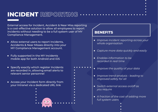# **INCIDENT REPORTING**

External access for Incident, Accident & Near Miss reporting is a cost-effective solution to allow all employees to report incidents without needing to be a full system user of MY Compliance Management.

- Allow external users to report Incidents, Accidents & Near Misses directly into your MY Compliance Management account.
- Fully supported in the MY Incidents mobile app for both Android and iOS
- **Specify exactly which register Incidents** are recorded in, allowing email alerts to relevant senior personnel
- Access your Incident form directly from your Intranet via a dedicated URL link

- *Improve incident reporting across your whole organisation*
- *Capture more data quickly and easily*
- *Enables information to be recorded in real time*
- *Improve the quality of your data*
- *Improve trend analysis leading to improved safety for all*
- *Switch external access on/off as you require*
- *A fraction of the cost of adding more full system users*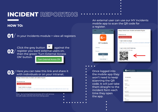

An external user can use our MY Incidents mobile app to scan the QR code for a register.



- 
- Once logged into
- the mobile app they
- won't need to keep
- scanning the QR
- code. It will just take
- them straight to the
- incident form each
- time they open
- the app.

| IVI T U   Management       |  |  |
|----------------------------|--|--|
|                            |  |  |
|                            |  |  |
|                            |  |  |
| <b>New Incident Report</b> |  |  |
| Reported By*               |  |  |
| Reported by                |  |  |
| Category*                  |  |  |
| Select Category            |  |  |
| Severity                   |  |  |
| N/A                        |  |  |
| Incident date*             |  |  |
| <b>Incident Date</b>       |  |  |
| Incident time*             |  |  |
| 24hrs e.g 15:15            |  |  |
|                            |  |  |
| Area*                      |  |  |
| <b>Access Egress</b>       |  |  |
|                            |  |  |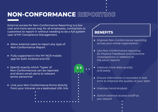# **NON-CONFORMANCE REPORTING**

External access for Non-Conformance Reporting is a low cost and more secure way for all employees, contractors or customers to report in without needing to be a full system user of MY Compliance Management.

- Allow external users to report any type of Non-Conformance Report
- Fully supported in the MY NCR mobile app for both Android and iOS
- Specify exactly which 'Types' of Non-Conformances can be reported and direct email alerts to relevant senior personnel
- Link your Non-Conformance forms directly from your Intranet via a dedicated URL link
	-

- *Improve Non-Conformance reporting across your whole organisation*
- *Use Non-Conformance reporting for Positive Feedback and Outcome investigations in addition to the usual reports.*
- *Capture more data quickly and easily*
- *Ensure information is recorded in real time to improve the quality of your data*
- *Improve trend analysis*
- *Switch external access on/off as you require*
	-
	-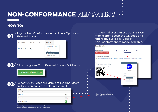

#### **HOW TO:**



In your Non-Conformance module > Options > External Access



## $\left\langle 02\right\rangle$  Click the green 'Turn External Access ON' button

**Turn External Access ON** 



Select which Types are visible to External Users and you can copy the link and share it.

| <b>Type</b>              |                                                |
|--------------------------|------------------------------------------------|
| Non Conformance Report   |                                                |
| <b>Black Tag</b>         | - 0<br>$\bullet$<br>$\bullet$<br>$\mathcal{B}$ |
| <b>BRC Audit</b>         | $\mathcal{D}$                                  |
| <b>Customer Feedback</b> | $\bullet$                                      |

An external user can use our MY NCR mobile app to scan the QR code and report any available Types of Non- Conformances made available.

| <b>Manage External Access</b>                                           |                                                                                         |
|-------------------------------------------------------------------------|-----------------------------------------------------------------------------------------|
| External access is on<br><b>Turn External Access OFF</b>                | Share this link for non mobile<br>app users                                             |
| To report incidents via a web page:                                     | Go to https://my-compliance.co.uk/external/ncr/9280ae6219c37d8d7aa316366141e463c7df6680 |
| To report incidents via the MY NCR App:<br>Scan this code from the app: | Sign In<br><b>VMY</b>                                                                   |
|                                                                         | <b>MY NCR</b><br>Username                                                               |
|                                                                         | Password<br>SIGN IN<br>0r                                                               |
|                                                                         | SCAN A QR CODE                                                                          |
|                                                                         | $\bullet$<br>●                                                                          |
| Select Types available to<br><b>External Users</b>                      | $\bullet$<br>$\bullet$                                                                  |
|                                                                         | $\bullet$<br>$\bullet$                                                                  |
|                                                                         | ●                                                                                       |

*Note - by turning External Access off, it will remove the QR codes and the link from being used.*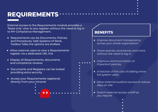## **REQUIREMENTS**

External access to the Requirements module provides a 'Read-only' view to any register without the need to log in to MY Compliance Management.

- Requirements can be Documents, Policies and Procedures, Safe Systems of Work, Toolbox Talks the options are endless
- Allow external users to view a Requirements register via a dedicated URL link
- Display all Requirements, documents and compliance reviews
- Documents and Registers can be locked  $\bullet$ providing extra security
- Access your Requirements register(s)  $\bullet$ directly from your Intranet

## **BENEFITS** *Improve document transparency across your whole organisation Share policies, procedures and more without the need to log in Improves communication of important policies A fraction of the cost of adding more full system users Allow external auditors access to reduce days on site*

- *Switch external access on/off as you require*
	- - -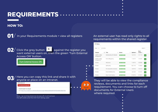# **REQUIREMENTS**

#### **HOW TO:**

 $\mathbf{0}$  / In your Requirements module > view all registers

**O2**/ Click the grey button **and against the register you** want external users on, then the green 'Turn External Access ON' button.

**Turn External Access ON** 

Here you can copy this link and share it with 03 anyone or place on an intranet.

#### **Turn External Access OFF**

External annoce is an

To view this register via a web page:

Go to https://my-compliance.co.uk/external/assetsmanager/3b0abda22fd3e60f7e397d2c696d9c782b617fa6

*Note - by turning External Access off, it will remove the QR codes and the link from being used.*

An external user has read only rights to all requirements within the shared register.

| <b>MY Policies</b> |                                       |                              |                        |                         |                          |
|--------------------|---------------------------------------|------------------------------|------------------------|-------------------------|--------------------------|
|                    | Show<br>entries<br>10<br>$\checkmark$ |                              |                        |                         | Search:                  |
|                    | Ιà<br>Chapter                         | <b>Title</b><br>Ιî           | <b>Status</b>          | 1î<br><b>Updated</b> If | <b>Next</b><br>review If |
|                    | Health & Safety<br>Management         | Medical policy for festivals | <b>Fully Compliant</b> | 16/10/18                | 14/11/19<br>$\bullet$    |
|                    | Health & Safety<br>Management         | Food safety policy           | <b>Fully Compliant</b> | 11/02/19                | 12/02/20<br>$\bullet$    |
|                    | <b>Policies</b>                       | H&S policy                   | <b>Fully Compliant</b> | 11/09/19                | 12/03/20<br>$\bullet$    |
|                    | <b>Policies</b>                       | QMS policy                   | <b>Fully Compliant</b> | 06/11/19                | 11/08/20<br>$\bullet$    |
|                    | <b>Policies</b>                       | Fire Evacuation procedure    | <b>Fully Compliant</b> | 13/07/18                | 13/07/19<br>$\bullet$    |
|                    | Policies                              | <b>Environmental policy</b>  | <b>Fully Compliant</b> | 14/12/20                | 16/12/21<br>$\bullet$    |
|                    | Policies                              | Major incident policy        | <b>Fully Compliant</b> | 01/06/18                | 01/06/19<br>$\bullet$    |



They will be able to view the compliance reviews, documents and links for each requirement. You can choose to turn off documents for External Users where required.

- 
- -
- 
- 
-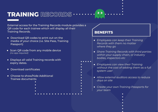## **TRAINING RECORDS**

External access for the Training Records module provides a QR code for each trainee which will display all their Training Records.

- Download QR codes to print out on the media of your choice (i.e. Site Pass, Training Passport)
- Scan QR code from any mobile device *(no app required)*
- **•** Displays all valid Training records with expiry dates.
- Download certificates  $\bullet$
- Choose to show/hide Additional Trainee documents
	-
	-
	-

- *Employees can keep their Training Records with them no matter where they go*
- *Share Training Records with third parties within your supply chain, or industry bodies, inspectors etc*

- *Employees can view their Training without the cost of adding them as a full system user*
	- *Allow external auditors access to reduce days on site*
	- *Create your own Training Passports for*   $\bullet$ *your team*
		-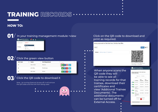# **TRAINING RECORDS**

#### **HOW TO:**



 $\mathbf{0}$  / In your training management module >view



## $\mathbf{02}^{\prime}$  Click the green view button

| <b>MYC User</b>           | <b>Name</b><br>ιì | <b>Site/Department</b> |                |                     |
|---------------------------|-------------------|------------------------|----------------|---------------------|
| $\checkmark$              | Chris Fuller      | Not set                | œ              | 商                   |
| $\boldsymbol{\mathsf{x}}$ | John Hay          | Warehouse              | ø<br>G         | $\blacksquare$      |
| $\boldsymbol{\mathsf{x}}$ | <b>Bob Hope</b>   | Stores                 | ø<br>$\bullet$ | $\blacksquare$<br>e |



*Note - by turning External Access off, it will remove the QR codes and the link from being used.*

#### Click on the QR code to download and print as required.

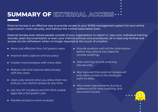## **SUMMARY OF EXTERNAL ACCESS**

External Access is an effective way to provide access to your SHEQ management system for your entire organisation, more securely, and without the normal associated costs.

External Access even allows people outside of your organisation to report in, view your individual training records, asset documentation or even your internal policies and procedures, all in read only format and access can be withdrawn when no longer required at the touch of a button.

- More cost effective than full system users **•** Provide auditors with all the information
- *Improve data capture and accuracy*
- *Greater trend analysis with more data*
- *Reduce risk and improve data privacy with less users*
- *Users only record what you allow them too and you can restrict access at any time.*
- *Use the MY Incidents and MY NCR mobile*   $\bullet$ *apps like a full system user*
- *Flexible access to more modules* $\bullet$
- *before they attend site (ideal for remote auditing).*
- *Take training records onto any site securely*
- *Rest assured that external access will only allow access to the areas you want to allow*
- *View Asset requirements during a walkaround for easy auditing, and document access*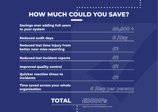## $\bullet$ **HOW MUCH COULD YOU SAVE?**

 $\bullet$  $\bullet$ 

- -

| <b>Savings over adding full users</b><br>to your system            | E4,500                        |
|--------------------------------------------------------------------|-------------------------------|
| <b>Reduced audit days</b>                                          | $\epsilon \equiv \sqrt{d}$ ay |
| <b>Reduced lost time injury from</b><br>better near miss reporting | £?                            |
| <b>Reduced lost incident reports</b>                               | $fE$ ?                        |
| <b>Improved quality control</b>                                    | fEZ                           |
| <b>Quicker reaction times to</b><br><b>incidents</b>               | 552                           |
| Time saved across your whole<br>organisation                       | £ /day per person             |
|                                                                    |                               |

 $\bullet$  $\bullet$ 





\*Based on up to 500 employees as users.